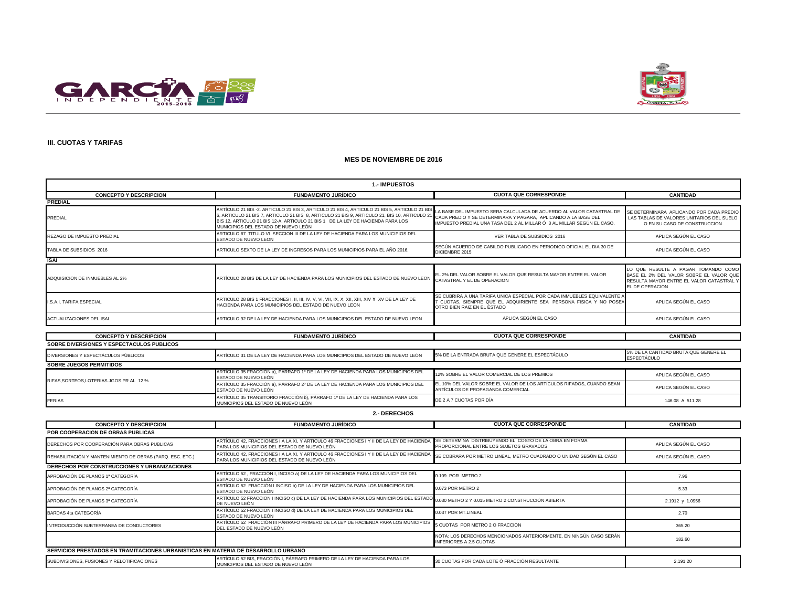



#### **III. CUOTAS Y TARIFAS**

#### **MES DE NOVIEMBRE DE 2016**

| <b>1.- IMPUESTOS</b>                      |                                                                                                                                                                                                                                                                                                                       |                                                                                                                                                                                                                  |                                                                                                                                               |  |
|-------------------------------------------|-----------------------------------------------------------------------------------------------------------------------------------------------------------------------------------------------------------------------------------------------------------------------------------------------------------------------|------------------------------------------------------------------------------------------------------------------------------------------------------------------------------------------------------------------|-----------------------------------------------------------------------------------------------------------------------------------------------|--|
| <b>CONCEPTO Y DESCRIPCION</b>             | <b>FUNDAMENTO JURÍDICO</b>                                                                                                                                                                                                                                                                                            | <b>CUOTA QUE CORRESPONDE</b>                                                                                                                                                                                     | <b>CANTIDAD</b>                                                                                                                               |  |
| <b>PREDIAL</b>                            |                                                                                                                                                                                                                                                                                                                       |                                                                                                                                                                                                                  |                                                                                                                                               |  |
| <b>PREDIAL</b>                            | ARTÍCULO 21 BIS -2. ARTICULO 21 BIS 3, ARTICULO 21 BIS 4, ARTICULO 21 BIS 5, ARTICULO 21 BIS<br>3, ARTICULO 21 BIS 7, ARTICULO 21 BIS 8, ARTICULO 21 BIS 9, ARTICULO 21, BIS 10, ARTICULO 21<br>BIS 12. ARTICULO 21 BIS 12-A. ARTICULO 21 BIS 1 DE LA LEY DE HACIENDA PARA LOS<br>MUNICIPIOS DEL ESTADO DE NUEVO LEÓN | LA BASE DEL IMPUESTO SERA CALCULADA DE ACUERDO AL VALOR CATASTRAL DE<br>CADA PREDIO Y SE DETERMINARA Y PAGARA, APLICANDO A LA BASE DEL<br>IMPUESTO PREDIAL UNA TASA DEL 2 AL MILLAR Ó 3 AL MILLAR SEGÚN EL CASO. | SE DETERMINARA APLICANDO POR CADA PREDIO<br>LAS TABLAS DE VALORES UNITARIOS DEL SUELO<br>O EN SU CASO DE CONSTRUCCION                         |  |
| REZAGO DE IMPUESTO PREDIAL                | ARTICULO 67 TITULO VI SECCION III DE LA LEY DE HACIENDA PARA LOS MUNICIPIOS DEL<br>ESTADO DE NUEVO LEON                                                                                                                                                                                                               | VER TABLA DE SUBSIDIOS 2016                                                                                                                                                                                      | APLICA SEGÚN EL CASO                                                                                                                          |  |
| TABLA DE SUBSIDIOS 2016                   | ARTICULO SEXTO DE LA LEY DE INGRESOS PARA LOS MUNICIPIOS PARA EL AÑO 2016.                                                                                                                                                                                                                                            | SEGÚN ACUERDO DE CABILDO PUBLICADO EN PERIODICO OFICIAL EL DIA 30 DE<br>DICIEMBRE 2015                                                                                                                           | APLICA SEGÚN EL CASO                                                                                                                          |  |
| <b>ISAI</b>                               |                                                                                                                                                                                                                                                                                                                       |                                                                                                                                                                                                                  |                                                                                                                                               |  |
| ADQUISICION DE INMUEBLES AL 2%            | ARTÍCULO 28 BIS DE LA LEY DE HACIENDA PARA LOS MUNICIPIOS DEL ESTADO DE NUEVO LEON                                                                                                                                                                                                                                    | EL 2% DEL VALOR SOBRE EL VALOR QUE RESULTA MAYOR ENTRE EL VALOR<br>CATASTRAL Y EL DE OPERACION                                                                                                                   | LO QUE RESULTE A PAGAR TOMANDO COMO<br>BASE EL 2% DEL VALOR SOBRE EL VALOR QUE<br>RESULTA MAYOR ENTRE EL VALOR CATASTRAL Y<br>EL DE OPERACION |  |
| I.S.A.I. TARIFA ESPECIAL                  | HACIENDA PARA LOS MUNICIPIOS DEL ESTADO DE NUEVO LEON                                                                                                                                                                                                                                                                 | SE CUBRIRA A UNA TARIFA UNICA ESPECIAL POR CADA INMUEBLES EQUIVALENTE /<br>7 CUOTAS, SIEMPRE QUE EL ADQUIRIENTE SEA PERSONA FISICA Y NO POSEA<br>OTRO BIEN RAIZ EN EL ESTADO                                     | APLICA SEGÚN EL CASO                                                                                                                          |  |
| <b>ACTUALIZACIONES DEL ISAI</b>           | ARTICULO 92 DE LA LEY DE HACIENDA PARA LOS MUNICIPIOS DEL ESTADO DE NUEVO LEON                                                                                                                                                                                                                                        | APLICA SEGÚN EL CASO                                                                                                                                                                                             | APLICA SEGÚN EL CASO                                                                                                                          |  |
|                                           |                                                                                                                                                                                                                                                                                                                       |                                                                                                                                                                                                                  |                                                                                                                                               |  |
| <b>CONCEPTO Y DESCRIPCION</b>             | <b>FUNDAMENTO JURÍDICO</b>                                                                                                                                                                                                                                                                                            | <b>CUOTA QUE CORRESPONDE</b>                                                                                                                                                                                     | <b>CANTIDAD</b>                                                                                                                               |  |
| SOBRE DIVERSIONES Y ESPECTACULOS PUBLICOS |                                                                                                                                                                                                                                                                                                                       |                                                                                                                                                                                                                  |                                                                                                                                               |  |
| DIVERSIONES Y ESPECTÁCULOS PÚBLICOS       | ARTÍCULO 31 DE LA LEY DE HACIENDA PARA LOS MUNICIPIOS DEL ESTADO DE NUEVO LEÓN                                                                                                                                                                                                                                        | 5% DE LA ENTRADA BRUTA QUE GENERE EL ESPECTÁCULO                                                                                                                                                                 | 5% DE LA CANTIDAD BRUTA QUE GENERE EL<br><b>ESPECTÁCULO</b>                                                                                   |  |
| <b>SOBRE JUEGOS PERMITIDOS</b>            |                                                                                                                                                                                                                                                                                                                       |                                                                                                                                                                                                                  |                                                                                                                                               |  |
| RIFAS.SORTEOS.LOTERIAS JGOS.PR AL 12 %    | ARTÍCULO 35 FRACCIÓN a), PÁRRAFO 1º DE LA LEY DE HACIENDA PARA LOS MUNICIPIOS DEL<br>ESTADO DE NUEVO LEÓN                                                                                                                                                                                                             | 12% SOBRE EL VALOR COMERCIAL DE LOS PREMIOS                                                                                                                                                                      | APLICA SEGÚN EL CASO                                                                                                                          |  |
|                                           | ARTÍCULO 35 FRACCIÓN a), PÁRRAFO 2º DE LA LEY DE HACIENDA PARA LOS MUNICIPIOS DEL<br>ESTADO DE NUEVO LEÓN                                                                                                                                                                                                             | EL 10% DEL VALOR SOBRE EL VALOR DE LOS ARTÍCULOS RIFADOS. CUANDO SEAN<br>ARTÍCULOS DE PROPAGANDA COMERCIAL                                                                                                       | APLICA SEGÚN EL CASO                                                                                                                          |  |
| <b>FERIAS</b>                             | ARTÍCULO 35 TRANSITORIO FRACCIÓN b), PÁRRAFO 1º DE LA LEY DE HACIENDA PARA LOS<br>MUNICIPIOS DEL ESTADO DE NUEVO LEÓN                                                                                                                                                                                                 | DE 2 A 7 CUOTAS POR DÍA                                                                                                                                                                                          | 146.08 A 511.28                                                                                                                               |  |

#### **2.- DERECHOS**

| <b>CONCEPTO Y DESCRIPCION</b>                                                     | <b>FUNDAMENTO JURÍDICO</b>                                                                                                                                           | <b>CUOTA QUE CORRESPONDE</b>                                                                         | <b>CANTIDAD</b>      |
|-----------------------------------------------------------------------------------|----------------------------------------------------------------------------------------------------------------------------------------------------------------------|------------------------------------------------------------------------------------------------------|----------------------|
| <b>POR COOPERACION DE OBRAS PUBLICAS</b>                                          |                                                                                                                                                                      |                                                                                                      |                      |
| DERECHOS POR COOPERACIÓN PARA OBRAS PUBLICAS                                      | ARTÍCULO 42. FRACCIONES I A LA XI. Y ARTICULO 46 FRACCIONES I Y II DE LA LEY DE HACIENDA<br>PARA LOS MUNICIPIOS DEL ESTADO DE NUEVO LEÓN                             | SE DETERMINA DISTRIBUYENDO EL COSTO DE LA OBRA EN FORMA<br>PROPORCIONAL ENTRE LOS SUJETOS GRAVADOS   | APLICA SEGÚN EL CASO |
| REHABILITACIÓN Y MANTENIMIENTO DE OBRAS (PARQ. ESC. ETC.)                         | ARTÍCULO 42. FRACCIONES I A LA XI, Y ARTÍCULO 46 FRACCIONES I Y II DE LA LEY DE HACIENDA<br>PARA LOS MUNICIPIOS DEL ESTADO DE NUEVO LEÓN                             | SE COBRARA POR METRO LINEAL, METRO CUADRADO O UNIDAD SEGÚN EL CASO                                   | APLICA SEGÚN EL CASO |
| <b>DERECHOS POR CONSTRUCCIONES Y URBANIZACIONES</b>                               |                                                                                                                                                                      |                                                                                                      |                      |
| APROBACIÓN DE PLANOS 1ª CATEGORÍA                                                 | ARTÍCULO 52, FRACCIÓN I, INCISO a) DE LA LEY DE HACIENDA PARA LOS MUNICIPIOS DEL<br>ESTADO DE NUEVO LEÓN                                                             | 0.109 POR METRO 2                                                                                    | 7.96                 |
| APROBACIÓN DE PLANOS 2ª CATEGORÍA                                                 | ARTÍCULO 52 FRACCIÓN I INCISO b) DE LA LEY DE HACIENDA PARA LOS MUNICIPIOS DEL<br>ESTADO DE NUEVO LEÓN                                                               | 0.073 POR METRO 2                                                                                    | 5.33                 |
| APROBACIÓN DE PLANOS 3ª CATEGORÍA                                                 | ARTÍCULO 52 FRACCION I INCISO c) DE LA LEY DE HACIENDA PARA LOS MUNICIPIOS DEL ESTADO <sub>0.030</sub> METRO 2 Y 0.015 METRO 2 CONSTRUCCIÓN ABIERTA<br>DE NUEVO LEÓN |                                                                                                      | 2.1912 y 1.0956      |
| BARDAS 4ta CATEGORÍA                                                              | ARTÍCULO 52 FRACCION I INCISO d) DE LA LEY DE HACIENDA PARA LOS MUNICIPIOS DEL<br>ESTADO DE NUEVO LEÓN                                                               | 0.037 POR MT.LINEAL                                                                                  | 2.70                 |
| INTRODUCCIÓN SUBTERRANEA DE CONDUCTORES                                           | ARTÍCULO 52 FRACCIÓN III PÁRRAFO PRIMERO DE LA LEY DE HACIENDA PARA LOS MUNICIPIOS<br>DEL ESTADO DE NUEVO LEÓN                                                       | 5 CUOTAS POR METRO 2 O FRACCION                                                                      | 365.20               |
|                                                                                   |                                                                                                                                                                      | NOTA: LOS DERECHOS MENCIONADOS ANTERIORMENTE, EN NINGÚN CASO SERÁN<br><b>INFERIORES A 2.5 CUOTAS</b> | 182.60               |
| SERVICIOS PRESTADOS EN TRAMITACIONES URBANISTICAS EN MATERIA DE DESARROLLO URBANO |                                                                                                                                                                      |                                                                                                      |                      |
| SUBDIVISIONES. FUSIONES Y RELOTIFICACIONES                                        | ARTÍCULO 52 BIS, FRACCIÓN I, PÁRRAFO PRIMERO DE LA LEY DE HACIENDA PARA LOS<br>MUNICIPIOS DEL ESTADO DE NUEVO LEÓN                                                   | 30 CUOTAS POR CADA LOTE Ó FRACCIÓN RESULTANTE                                                        | 2,191.20             |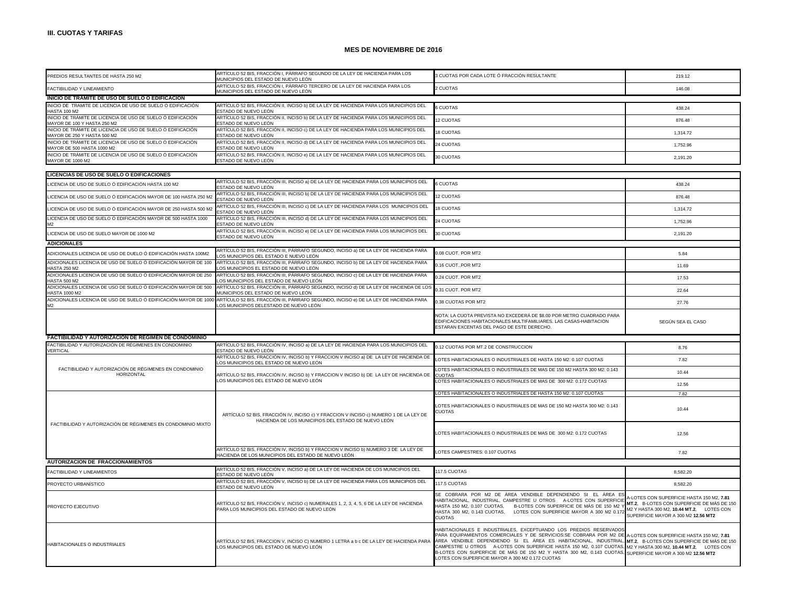| PREDIOS RESULTANTES DE HASTA 250 M2                                                        | ARTÍCULO 52 BIS, FRACCIÓN I, PÁRRAFO SEGUNDO DE LA LEY DE HACIENDA PARA LOS<br>MUNICIPIOS DEL ESTADO DE NUEVO LEÓN                          | 3 CUOTAS POR CADA LOTE Ó FRACCIÓN RESULTANTE                                                                                                                                                                                                                                                                                                                                                                                                                                                                                                                                        | 219.12                                                                                                                         |
|--------------------------------------------------------------------------------------------|---------------------------------------------------------------------------------------------------------------------------------------------|-------------------------------------------------------------------------------------------------------------------------------------------------------------------------------------------------------------------------------------------------------------------------------------------------------------------------------------------------------------------------------------------------------------------------------------------------------------------------------------------------------------------------------------------------------------------------------------|--------------------------------------------------------------------------------------------------------------------------------|
| FACTIBILIDAD Y LINEAMIENTO                                                                 | ARTÍCULO 52 BIS, FRACCIÓN I, PÁRRAFO TERCERO DE LA LEY DE HACIENDA PARA LOS<br>MUNICIPIOS DEL ESTADO DE NUEVO LEÓN                          | 2 CUOTAS                                                                                                                                                                                                                                                                                                                                                                                                                                                                                                                                                                            | 146.08                                                                                                                         |
| INICIO DE TRAMITE DE USO DE SUELO O EDIFICACION                                            |                                                                                                                                             |                                                                                                                                                                                                                                                                                                                                                                                                                                                                                                                                                                                     |                                                                                                                                |
| INICIO DE TRAMITE DE LICENCIA DE USO DE SUELO O EDIFICACIÓN                                | ARTÍCULO 52 BIS, FRACCIÓN II, INCISO b) DE LA LEY DE HACIENDA PARA LOS MUNICIPIOS DEL                                                       | <b>6 CUOTAS</b>                                                                                                                                                                                                                                                                                                                                                                                                                                                                                                                                                                     | 438.24                                                                                                                         |
| <b>HASTA 100 M2</b><br>INICIO DE TRÁMITE DE LICENCIA DE USO DE SUELO Ó EDIFICACIÓN         | ESTADO DE NUEVO LEÓN<br>ARTÍCULO 52 BIS, FRACCIÓN II, INCISO b) DE LA LEY DE HACIENDA PARA LOS MUNICIPIOS DEL                               | 12 CUOTAS                                                                                                                                                                                                                                                                                                                                                                                                                                                                                                                                                                           | 876.48                                                                                                                         |
| MAYOR DE 100 Y HASTA 250 M2<br>INICIO DE TRÁMITE DE LICENCIA DE USO DE SUELO Ó EDIFICACIÓN | ESTADO DE NUEVO LEÓN<br>ARTÍCULO 52 BIS, FRACCIÓN II, INCISO c) DE LA LEY DE HACIENDA PARA LOS MUNICIPIOS DEL                               |                                                                                                                                                                                                                                                                                                                                                                                                                                                                                                                                                                                     |                                                                                                                                |
| MAYOR DE 250 Y HASTA 500 M2                                                                | ESTADO DE NUEVO LEÓN                                                                                                                        | 18 CUOTAS                                                                                                                                                                                                                                                                                                                                                                                                                                                                                                                                                                           | 1,314.72                                                                                                                       |
| INICIO DE TRÁMITE DE LICENCIA DE USO DE SUELO Ó EDIFICACIÓN<br>MAYOR DE 500 HASTA 1000 M2  | ARTÍCULO 52 BIS, FRACCIÓN II, INCISO d) DE LA LEY DE HACIENDA PARA LOS MUNICIPIOS DEL<br>ESTADO DE NUEVO LEÓN                               | 24 CUOTAS                                                                                                                                                                                                                                                                                                                                                                                                                                                                                                                                                                           | 1,752.96                                                                                                                       |
| INICIO DE TRÁMITE DE LICENCIA DE USO DE SUELO Ó EDIFICACIÓN<br>MAYOR DE 1000 M2            | ARTÍCULO 52 BIS, FRACCIÓN II, INCISO e) DE LA LEY DE HACIENDA PARA LOS MUNICIPIOS DEL<br>ESTADO DE NUEVO LEÓN                               | 30 CUOTAS                                                                                                                                                                                                                                                                                                                                                                                                                                                                                                                                                                           | 2,191.20                                                                                                                       |
| LICENCIAS DE USO DE SUELO O EDIFICACIONES                                                  |                                                                                                                                             |                                                                                                                                                                                                                                                                                                                                                                                                                                                                                                                                                                                     |                                                                                                                                |
|                                                                                            | ARTÍCULO 52 BIS, FRACCIÓN III, INCISO a) DE LA LEY DE HACIENDA PARA LOS MUNICIPIOS DEL                                                      |                                                                                                                                                                                                                                                                                                                                                                                                                                                                                                                                                                                     |                                                                                                                                |
| LICENCIA DE USO DE SUELO Ó EDIFICACIÓN HASTA 100 M2                                        | ESTADO DE NUEVO LEÓN                                                                                                                        | <b>S CUOTAS</b>                                                                                                                                                                                                                                                                                                                                                                                                                                                                                                                                                                     | 438.24                                                                                                                         |
| LICENCIA DE USO DE SUELO Ó EDIFICACIÓN MAYOR DE 100 HASTA 250 M2                           | ARTÍCULO 52 BIS, FRACCIÓN III, INCISO b) DE LA LEY DE HACIENDA PARA LOS MUNICIPIOS DEL<br>STADO DE NUEVO LEÓN                               | 12 CUOTAS                                                                                                                                                                                                                                                                                                                                                                                                                                                                                                                                                                           | 876.48                                                                                                                         |
| LICENCIA DE USO DE SUELO Ó EDIFICACIÓN MAYOR DE 250 HASTA 500 M2                           | ARTÍCULO 52 BIS, FRACCIÓN III, INCISO c) DE LA LEY DE HACIENDA PARA LOS MUNICIPIOS DEL<br>ESTADO DE NUEVO LEÓN                              | 18 CUOTAS                                                                                                                                                                                                                                                                                                                                                                                                                                                                                                                                                                           | 1.314.72                                                                                                                       |
| LICENCIA DE USO DE SUELO Ó EDIFICACIÓN MAYOR DE 500 HASTA 1000                             | ARTÍCULO 52 BIS, FRACCIÓN III, INCISO d) DE LA LEY DE HACIENDA PARA LOS MUNICIPIOS DEL<br>ESTADO DE NUEVO LEÓN                              | 24 CUOTAS                                                                                                                                                                                                                                                                                                                                                                                                                                                                                                                                                                           | 1.752.96                                                                                                                       |
| LICENCIA DE USO DE SUELO MAYOR DE 1000 M2                                                  | ARTÍCULO 52 BIS, FRACCIÓN III, INCISO e) DE LA LEY DE HACIENDA PARA LOS MUNICIPIOS DEL<br>ESTADO DE NUEVO LEÓN                              | 30 CUOTAS                                                                                                                                                                                                                                                                                                                                                                                                                                                                                                                                                                           | 2,191.20                                                                                                                       |
| <b>ADICIONALES</b>                                                                         |                                                                                                                                             |                                                                                                                                                                                                                                                                                                                                                                                                                                                                                                                                                                                     |                                                                                                                                |
| ADICIONALES LICENCIA DE USO DE DUELO Ó EDIFICACIÓN HASTA 100M2                             | ARTÍCULO 52 BIS, FRACCIÓN III, PÁRRAFO SEGUNDO, INCISO a) DE LA LEY DE HACIENDA PARA<br>OS MUNICIPIOS DEL ESTADO E NUEVO LEÓN               | 0.08 CUOT. POR MT2                                                                                                                                                                                                                                                                                                                                                                                                                                                                                                                                                                  | 5.84                                                                                                                           |
| ADICIONALES LICENCIA DE USO DE SUELO Ó EDIFICACIÓN MAYOR DE 100<br><b>HASTA 250 M2</b>     | ARTÍCULO 52 BIS, FRACCIÓN III, PÁRRAFO SEGUNDO, INCISO b) DE LA LEY DE HACIENDA PARA<br>LOS MUNICIPIOS EL ESTADO DE NUEVO LEÓN              | 0.16 CUOT., POR MT2                                                                                                                                                                                                                                                                                                                                                                                                                                                                                                                                                                 | 11.69                                                                                                                          |
| ADICIONALES LICENCIA DE USO DE SUELO Ó EDIFICACIÓN MAYOR DE 250                            | ARTÍCULO 52 BIS, FRACCIÓN III, PÁRRAFO SEGUNDO, INCISO c) DE LA LEY DE HACIENDA PARA                                                        | 0.24 CUOT. POR MT2                                                                                                                                                                                                                                                                                                                                                                                                                                                                                                                                                                  | 17.53                                                                                                                          |
| <b>HASTA 500 M2</b><br>ADICIONALES LICENCIA DE USO DE SUELO Ó EDIFICACIÓN MAYOR DE 500     | OS MUNICIPIOS DEL ESTADO DE NUEVO LEÓN<br>ARTÍCULO 52 BIS, FRACCIÓN III, PÁRRAFO SEGUNDO, INCISO d) DE LA LEY DE HACIENDA DE LOS            |                                                                                                                                                                                                                                                                                                                                                                                                                                                                                                                                                                                     |                                                                                                                                |
| <b>HASTA 1000 M2</b><br>ADICIONALES LICENCIA DE USO DE SUELO Ó EDIFICACIÓN MAYOR DE 100    | IUNICIPIOS DEL ESTADO DE NUEVO LEÓN                                                                                                         | 0.31 CUOT. POR MT2                                                                                                                                                                                                                                                                                                                                                                                                                                                                                                                                                                  | 22.64                                                                                                                          |
|                                                                                            | ARTÍCULO 52 BIS, FRACCIÓN III, PÁRRAFO SEGUNDO, INCISO e) DE LA LEY DE HACIENDA PARA<br>OS MUNICIPIOS DELESTADO DE NUEVO LEÓN               | 0.38 CUOTAS POR MT2                                                                                                                                                                                                                                                                                                                                                                                                                                                                                                                                                                 | 27.76                                                                                                                          |
|                                                                                            |                                                                                                                                             | NOTA: LA CUOTA PREVISTA NO EXCEDERÁ DE \$8.00 POR METRO CUADRADO PARA<br>EDIFICACIONES HABITACIONALES MULTIFAMILIARES. LAS CASAS-HABITACION<br>ESTARAN EXCENTAS DEL PAGO DE ESTE DERECHO.                                                                                                                                                                                                                                                                                                                                                                                           | SEGÚN SEA EL CASO                                                                                                              |
| FACTIBILIDAD Y AUTORIZACION DE REGIMEN DE CONDOMINIO                                       |                                                                                                                                             |                                                                                                                                                                                                                                                                                                                                                                                                                                                                                                                                                                                     |                                                                                                                                |
| FACTIBILIDAD Y AUTORIZACIÓN DE RÉGIMENES EN CONDOMINIO                                     | ARTÍCULO 52 BIS, FRACCIÓN IV, INCISO a) DE LA LEY DE HACIENDA PARA LOS MUNICIPIOS DEL                                                       | 0.12 CUOTAS POR MT.2 DE CONSTRUCCION                                                                                                                                                                                                                                                                                                                                                                                                                                                                                                                                                | 8.76                                                                                                                           |
| VERTICAL                                                                                   | ESTADO DE NUEVO LEÓN<br>ARTÍCULO 52 BIS, FRACCIÓN IV, INCISO b) Y FRACCION V INCISO a) DE LA LEY DE HACIENDA DE                             | OTES HABITACIONALES O INDUSTRIALES DE HASTA 150 M2: 0.107 CUOTAS                                                                                                                                                                                                                                                                                                                                                                                                                                                                                                                    | 7.82                                                                                                                           |
| FACTIBILIDAD Y AUTORIZACIÓN DE RÉGIMENES EN CONDOMINIO                                     | LOS MUNICIPIOS DEL ESTADO DE NUEVO LEÓN                                                                                                     | LOTES HABITACIONALES O INDUSTRIALES DE MAS DE 150 M2 HASTA 300 M2: 0.143                                                                                                                                                                                                                                                                                                                                                                                                                                                                                                            |                                                                                                                                |
| <b>HORIZONTAL</b>                                                                          | ARTÍCULO 52 BIS, FRACCIÓN IV, INCISO b) Y FRACCION V INCISO b) DE LA LEY DE HACIENDA DE<br>LOS MUNICIPIOS DEL ESTADO DE NUEVO LEÓN          | <b>CUOTAS</b><br>LOTES HABITACIONALES O INDUSTRIALES DE MAS DE 300 M2: 0.172 CUOTAS                                                                                                                                                                                                                                                                                                                                                                                                                                                                                                 | 10.44                                                                                                                          |
|                                                                                            |                                                                                                                                             |                                                                                                                                                                                                                                                                                                                                                                                                                                                                                                                                                                                     | 12.56                                                                                                                          |
|                                                                                            |                                                                                                                                             | LOTES HABITACIONALES O INDUSTRIALES DE HASTA 150 M2: 0.107 CUOTAS                                                                                                                                                                                                                                                                                                                                                                                                                                                                                                                   | 7.82                                                                                                                           |
|                                                                                            | ARTÍCULO 52 BIS, FRACCIÓN IV, INCISO c) Y FRACCION V INCISO c) NUMERO 1 DE LA LEY DE<br>HACIENDA DE LOS MUNICIPIOS DEL ESTADO DE NUEVO LEÓN | LOTES HABITACIONALES O INDUSTRIALES DE MAS DE 150 M2 HASTA 300 M2: 0.143<br><b>CUOTAS</b>                                                                                                                                                                                                                                                                                                                                                                                                                                                                                           | 10.44                                                                                                                          |
| FACTIBILIDAD Y AUTORIZACIÓN DE RÉGIMENES EN CONDOMINIO MIXTO                               |                                                                                                                                             | OTES HABITACIONALES O INDUSTRIALES DE MAS DE 300 M2: 0.172 CUOTAS                                                                                                                                                                                                                                                                                                                                                                                                                                                                                                                   | 12.56                                                                                                                          |
|                                                                                            | ARTÍCULO 52 BIS, FRACCIÓN IV, INCISO b) Y FRACCION V INCISO b) NUMERO 3 DE LA LEY DE<br>HACIENDA DE LOS MUNICIPIOS DEL ESTADO DE NUEVO LEÓN | LOTES CAMPESTRES: 0.107 CUOTAS                                                                                                                                                                                                                                                                                                                                                                                                                                                                                                                                                      | 7.82                                                                                                                           |
| <b>AUTORIZACION DE FRACCIONAMIENTOS</b>                                                    |                                                                                                                                             |                                                                                                                                                                                                                                                                                                                                                                                                                                                                                                                                                                                     |                                                                                                                                |
| FACTIBILIDAD Y LINEAMIENTOS                                                                | ARTÍCULO 52 BIS, FRACCIÓN V, INCISO a) DE LA LEY DE HACIENDA DE LOS MUNICIPIOS DEL<br>ESTADO DE NUEVO LEÓN                                  | 117.5 CUOTAS                                                                                                                                                                                                                                                                                                                                                                                                                                                                                                                                                                        | 8.582.20                                                                                                                       |
| PROYECTO URBANÍSTICO                                                                       | ARTÍCULO 52 BIS, FRACCIÓN V, INCISO b) DE LA LEY DE HACIENDA PARA LOS MUNICIPIOS DEL                                                        | 117.5 CUOTAS                                                                                                                                                                                                                                                                                                                                                                                                                                                                                                                                                                        | 8,582.20                                                                                                                       |
|                                                                                            | ESTADO DE NUEVO LEÓN                                                                                                                        |                                                                                                                                                                                                                                                                                                                                                                                                                                                                                                                                                                                     |                                                                                                                                |
| PROYECTO EJECUTIVO                                                                         | ARTÍCULO 52 BIS, FRACCIÓN V, INCISO c) NUMERALES 1, 2, 3, 4, 5, 6 DE LA LEY DE HACIENDA<br>PARA LOS MUNICIPIOS DEL ESTADO DE NUEVO LEÓN     | SE COBRARA POR M2 DE ÁREA VENDIBLE DEPENDIENDO SI EL ÁREA ES<br>HABITACIONAL, INDUSTRIAL, CAMPESTRE U OTROS A-LOTES CON SUPERFICIE<br>HASTA 150 M2, 0.107 CUOTAS,<br>B-LOTES CON SUPERFICIE DE MÁS DE 150 M2 Y<br>LOTES CON SUPERFICIE MAYOR A 300 M2 0.172 M2 Y HASTA 300 M2, 10.44 MT.2, LOTES CON<br>HASTA 300 M2, 0.143 CUOTAS,<br>CUOTAS                                                                                                                                                                                                                                       | A-LOTES CON SUPERFICIE HASTA 150 M2, 7.81<br>MT.2. B-LOTES CON SUPERFICIE DE MÁS DE 150<br>SUPERFICIE MAYOR A 300 M2 12.56 MT2 |
| HABITACIONALES O INDUSTRIALES                                                              | ARTÍCULO 52 BIS, FRACCION V, INCISO C) NUMERO 1 LETRA a b c DE LA LEY DE HACIENDA PARA<br>LOS MUNICIPIOS DEL ESTADO DE NUEVO LEÓN           | HABITACIONALES E INDUSTRIALES, EXCEPTUANDO LOS PREDIOS RESERVADOS<br>PARA EQUIPAMIENTOS COMERCIALES Y DE SERVICIOS:SE COBRARA POR M2 DE A-LOTES CON SUPERFICIE HASTA 150 M2, 7.81<br>ÁREA VENDIBLE DEPENDIENDO SI EL ÁREA ES HABITACIONAL, INDUSTRIAL, MIT.2, B-LOTES CON SUPERFICIE DE MÁS DE 150<br>AMPESTRE U OTROS A-LOTES CON SUPERFICIE HASTA 150 M2, 0.107 CUOTAS, M2 Y HASTA 300 M2, 10.44 MT.2, LOTES CON<br>B-LOTES CON SUPERFICIE DE MÁS DE 150 M2 Y HASTA 300 M2, 0.143 CUOTAS, SUPERFICIE MAYOR A 300 M2 12.56 MT2<br>LOTES CON SUPERFICIE MAYOR A 300 M2 0.172 CUOTAS |                                                                                                                                |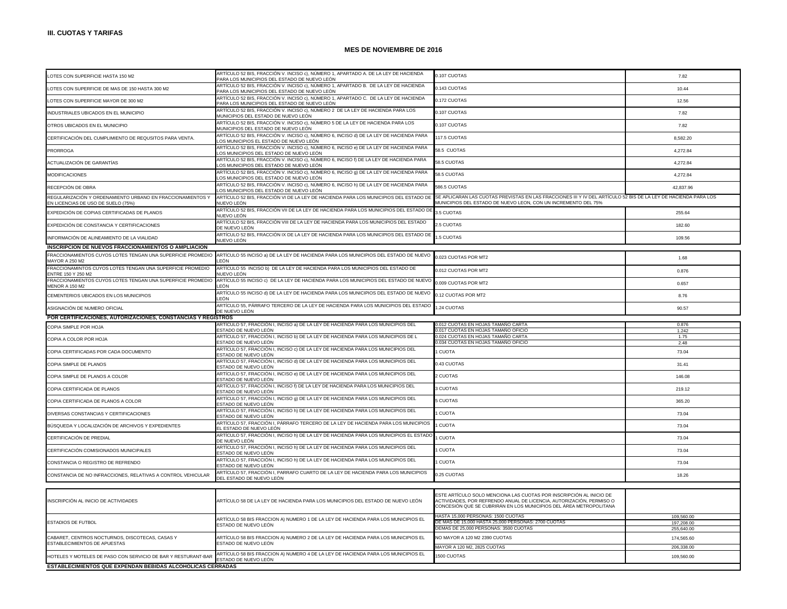| LOTES CON SUPERFICIE HASTA 150 M2                                                                | ARTÍCULO 52 BIS, FRACCIÓN V. INCISO c), NÚMERO 1, APARTADO A. DE LA LEY DE HACIENDA<br>PARA LOS MUNICIPIOS DEL ESTADO DE NUEVO LEÓN  | 0.107 CUOTAS                                                                                                                                                                                                      | 7.82                     |
|--------------------------------------------------------------------------------------------------|--------------------------------------------------------------------------------------------------------------------------------------|-------------------------------------------------------------------------------------------------------------------------------------------------------------------------------------------------------------------|--------------------------|
| LOTES CON SUPERFICIE DE MAS DE 150 HASTA 300 M2                                                  | ARTÍCULO 52 BIS, FRACCIÓN V. INCISO c), NÚMERO 1, APARTADO B.  DE LA LEY DE HACIENDA<br>PARA LOS MUNICIPIOS DEL ESTADO DE NUEVO LEÓN | 0.143 CUOTAS                                                                                                                                                                                                      | 10.44                    |
| LOTES CON SUPERFICIE MAYOR DE 300 M2                                                             | ARTÍCULO 52 BIS, FRACCIÓN V. INCISO c), NÚMERO 1, APARTADO C. DE LA LEY DE HACIENDA<br>PARA LOS MUNICIPIOS DEL ESTADO DE NUEVO LEÓN  | 0.172 CUOTAS                                                                                                                                                                                                      | 12.56                    |
| INDUSTRIALES UBICADOS EN EL MUNICIPIO                                                            | ARTÍCULO 52 BIS, FRACCIÓN V. INCISO c), NÚMERO 2 DE LA LEY DE HACIENDA PARA LOS<br>MUNICIPIOS DEL ESTADO DE NUEVO LEÓN               | 0.107 CUOTAS                                                                                                                                                                                                      | 7.82                     |
| OTROS UBICADOS EN EL MUNICIPIO                                                                   | ARTÍCULO 52 BIS, FRACCIÓN V. INCISO c), NÚMERO 5 DE LA LEY DE HACIENDA PARA LOS<br>MUNICIPIOS DEL ESTADO DE NUEVO LEÓN               | 0.107 CUOTAS                                                                                                                                                                                                      | 7.82                     |
| CERTIFICACIÓN DEL CUMPLIMIENTO DE REQUSITOS PARA VENTA.                                          | ARTÍCULO 52 BIS, FRACCIÓN V. INCISO c), NÚMERO 6, INCISO d) DE LA LEY DE HACIENDA PARA<br>OS MUNICIPIOS EL ESTADO DE NUEVO LEÓN      | 117.5 CUOTAS                                                                                                                                                                                                      | 8,582.20                 |
| <b>PRORROGA</b>                                                                                  | ARTÍCULO 52 BIS, FRACCIÓN V. INCISO c), NÚMERO 6, INCISO e) DE LA LEY DE HACIENDA PARA<br>OS MUNICIPIOS DEL ESTADO DE NUEVO LEÓN     | 58.5 CUOTAS                                                                                                                                                                                                       | 4,272.84                 |
| ACTUALIZACIÓN DE GARANTÍAS                                                                       | ARTÍCULO 52 BIS, FRACCIÓN V. INCISO c), NÚMERO 6, INCISO f) DE LA LEY DE HACIENDA PARA<br>OS MUNICIPIOS DEL ESTADO DE NUEVO LEÓN     | 58.5 CUOTAS                                                                                                                                                                                                       | 4.272.84                 |
| <b>MODIFICACIONES</b>                                                                            | ARTÍCULO 52 BIS, FRACCIÓN V. INCISO c), NÚMERO 6, INCISO q) DE LA LEY DE HACIENDA PARA<br>OS MUNICIPIOS DEL ESTADO DE NUEVO LEÓN     | 58.5 CUOTAS                                                                                                                                                                                                       | 4,272.84                 |
| RECEPCIÓN DE OBRA                                                                                | ARTÍCULO 52 BIS, FRACCIÓN V. INCISO c), NÚMERO 6, INCISO h) DE LA LEY DE HACIENDA PARA<br>OS MUNICIPIOS DEL ESTADO DE NUEVO LEÓN     | 586.5 CUOTAS                                                                                                                                                                                                      | 42.837.96                |
| REGULARIZACIÓN Y ORDENAMIENTO URBANO EN FRACCIONAMIENTOS Y<br>EN LICENCIAS DE USO DE SUELO (75%) | ARTÍCULO 52 BIS, FRACCIÓN VI DE LA LEY DE HACIENDA PARA LOS MUNICIPIOS DEL ESTADO DE<br>NUEVO LEÓN                                   | SE APLICARAN LAS CUOTAS PREVISTAS EN LAS FRACCIONES III Y IV DEL ARTÍCULO 52 BIS DE LA LEY DE HACIENDA PARA LOS<br>MUNICIPIOS DEL ESTADO DE NUEVO LEON, CON UN INCREMENTO DEL 75%                                 |                          |
| EXPEDICIÓN DE COPIAS CERTIFICADAS DE PLANOS                                                      | ARTÍCULO 52 BIS, FRACCIÓN VII DE LA LEY DE HACIENDA PARA LOS MUNICIPIOS DEL ESTADO DE<br>NUEVO LEÓN                                  | 3.5 CUOTAS                                                                                                                                                                                                        | 255.64                   |
| EXPEDICIÓN DE CONSTANCIA Y CERTIFICACIONES                                                       | ARTÍCULO 52 BIS, FRACCIÓN VIII DE LA LEY DE HACIENDA PARA LOS MUNICIPIOS DEL ESTADO<br>DE NUEVO LEÓN                                 | 2.5 CUOTAS                                                                                                                                                                                                        | 182.60                   |
| INFORMACIÓN DE ALINEAMIENTO DE LA VIALIDAD                                                       | ARTÍCULO 52 BIS, FRACCIÓN IX DE LA LEY DE HACIENDA PARA LOS MUNICIPIOS DEL ESTADO DE<br>NUEVO LEÓN                                   | .5 CUOTAS                                                                                                                                                                                                         | 109.56                   |
| <b>INSCRIPCION DE NUEVOS FRACCIONAMIENTOS O AMPLIACION</b>                                       |                                                                                                                                      |                                                                                                                                                                                                                   |                          |
| FRACCIONAMIENTOS CUYOS LOTES TENGAN UNA SUPERFICIE PROMEDIO<br>MAYOR A 250 M2                    | ARTÍCULO 55 INCISO a) DE LA LEY DE HACIENDA PARA LOS MUNICIPIOS DEL ESTADO DE NUEVO<br>FÓN                                           | 0.023 CUOTAS POR MT2                                                                                                                                                                                              | 1.68                     |
| FRACCIONAMINTOS CUYOS LOTES TENGAN UNA SUPERFICIE PROMEDIO<br>ENTRE 150 Y 250 M2                 | ARTÍCULO 55 INCISO b) DE LA LEY DE HACIENDA PARA LOS MUNICIPIOS DEL ESTADO DE<br>IUEVO LEÓN                                          | 0.012 CUOTAS POR MT2                                                                                                                                                                                              | 0.876                    |
| FRACCIONAMIENTOS CUYOS LOTES TENGAN UNA SUPERFICIE PROMEDIO<br>MENOR A 150 M2                    | ARTÍCULO 55 INCISO c) DE LA LEY DE HACIENDA PARA LOS MUNICIPIOS DEL ESTADO DE NUEVO<br>FÓN                                           | 0.009 CUOTAS POR MT2                                                                                                                                                                                              | 0.657                    |
| CEMENTERIOS UBICADOS EN LOS MUNICIPIOS                                                           | ARTÍCULO 55 INCISO d) DE LA LEY DE HACIENDA PARA LOS MUNICIPIOS DEL ESTADO DE NUEVO<br>FÓN                                           | 0.12 CUOTAS POR MT2                                                                                                                                                                                               | 8.76                     |
| ASIGNACIÓN DE NUMERO OFICIAL                                                                     | ARTÍCULO 55, PÁRRAFO TERCERO DE LA LEY DE HACIENDA PARA LOS MUNICIPIOS DEL ESTADO<br>DE NUEVO LEÓN                                   | .24 CUOTAS                                                                                                                                                                                                        | 90.57                    |
| POR CERTIFICACIONES, AUTORIZACIONES, CONSTANCIAS Y REGISTROS                                     |                                                                                                                                      |                                                                                                                                                                                                                   |                          |
|                                                                                                  |                                                                                                                                      |                                                                                                                                                                                                                   |                          |
|                                                                                                  | RTÍCULO 57, FRACCIÓN I, INCISO a) DE LA LEY DE HACIENDA PARA LOS MUNICIPIOS DEL                                                      | .012 CUOTAS EN HOJAS TAMANO CARTA                                                                                                                                                                                 | 0.876                    |
| COPIA SIMPLE POR HOJA                                                                            | ESTADO DE NUEVO LEÓN                                                                                                                 | 0.017 CUOTAS EN HOJAS TAMAÑO OFICIO                                                                                                                                                                               | 1.242                    |
| COPIA A COLOR POR HOJA                                                                           | ARTÍCULO 57, FRACCIÓN I, INCISO b) DE LA LEY DE HACIENDA PARA LOS MUNICIPIOS DE L<br>ESTADO DE NUEVO LEÓN                            | 0.024 CUOTAS EN HOJAS TAMAÑO CARTA<br>0.034 CUOTAS EN HOJAS TAMANO OFICIO                                                                                                                                         | 1.75<br>2.48             |
| COPIA CERTIFICADAS POR CADA DOCUMENTO                                                            | ARTÍCULO 57, FRACCIÓN I, INCISO c) DE LA LEY DE HACIENDA PARA LOS MUNICIPIOS DEL<br>STADO DE NUEVO LEÓN                              | <b>CUOTA</b>                                                                                                                                                                                                      | 73.04                    |
| COPIA SIMPLE DE PLANOS                                                                           | ARTÍCULO 57, FRACCIÓN I, INCISO d) DE LA LEY DE HACIENDA PARA LOS MUNICIPIOS DEL<br>ESTADO DE NUEVO LEÓN                             | 0.43 CUOTAS                                                                                                                                                                                                       | 31.41                    |
| COPIA SIMPLE DE PLANOS A COLOR                                                                   | ARTÍCULO 57, FRACCIÓN I, INCISO e) DE LA LEY DE HACIENDA PARA LOS MUNICIPIOS DEL<br>ESTADO DE NUEVO LEÓN                             | <b>CUOTAS</b>                                                                                                                                                                                                     | 146.08                   |
| COPIA CERTIFICADA DE PLANOS                                                                      | ARTÍCULO 57, FRACCIÓN I, INCISO f) DE LA LEY DE HACIENDA PARA LOS MUNICIPIOS DEL<br>STADO DE NUEVO LEÓN                              | <b>CUOTAS</b>                                                                                                                                                                                                     | 219.12                   |
| COPIA CERTIFICADA DE PLANOS A COLOR                                                              | ARTÍCULO 57, FRACCIÓN I, INCISO g) DE LA LEY DE HACIENDA PARA LOS MUNICIPIOS DEL<br>ESTADO DE NUEVO LEÓN                             | <b>5 CUOTAS</b>                                                                                                                                                                                                   | 365.20                   |
| DIVERSAS CONSTANCIAS Y CERTIFICACIONES                                                           | ARTÍCULO 57, FRACCIÓN I, INCISO h) DE LA LEY DE HACIENDA PARA LOS MUNICIPIOS DEL<br>STADO DE NUEVO LEÓN                              | <b>CUOTA</b>                                                                                                                                                                                                      | 73.04                    |
| BÚSQUEDA Y LOCALIZACIÓN DE ARCHIVOS Y EXPEDIENTES                                                | ARTÍCULO 57, FRACCIÓN I, PÁRRAFO TERCERO DE LA LEY DE HACIENDA PARA LOS MUNICIPIOS<br>I ESTADO DE NUEVO LEÓN                         | <b>CUOTA</b>                                                                                                                                                                                                      | 73.04                    |
| CERTIFICACIÓN DE PREDIAL                                                                         | ARTÍCULO 57, FRACCIÓN I, INCISO h) DE LA LEY DE HACIENDA PARA LOS MUNICIPIOS EL ESTADO<br>DE NUEVO LEÓN.                             | <b>CUOTA</b>                                                                                                                                                                                                      | 73.04                    |
| CERTIFICACIÓN COMISIONADOS MUNICIPALES                                                           | ARTÍCULO 57, FRACCIÓN I, INCISO h) DE LA LEY DE HACIENDA PARA LOS MUNICIPIOS DEL<br>ESTADO DE NUEVO LEÓN                             | <b>CUOTA</b>                                                                                                                                                                                                      | 73.04                    |
| CONSTANCIA O REGISTRO DE REFRENDO                                                                | ARTÍCULO 57, FRACCIÓN I, INCISO h) DE LA LEY DE HACIENDA PARA LOS MUNICIPIOS DEL<br>ESTADO DE NUEVO LEÓN                             | <b>CUOTA</b>                                                                                                                                                                                                      | 73.04                    |
| CONSTANCIA DE NO INFRACCIONES, RELATIVAS A CONTROL VEHICULAR                                     | ARTÍCULO 57, FRACCIÓN I, PARRAFO CUARTO DE LA LEY DE HACIENDA PARA LOS MUNICIPIOS<br>DEL ESTADO DE NUEVO LEÓN                        | 0.25 CUOTAS                                                                                                                                                                                                       | 18.26                    |
|                                                                                                  |                                                                                                                                      |                                                                                                                                                                                                                   |                          |
| INSCRIPCIÓN AL INICIO DE ACTIVIDADES                                                             | ARTÍCULO 58 DE LA LEY DE HACIENDA PARA LOS MUNICIPIOS DEL ESTADO DE NUEVO LEÓN                                                       | ESTE ARTÍCULO SOLO MENCIONA LAS CUOTAS POR INSCRIPCIÓN AL INICIO DE<br>ACTIVIDADES, POR REFRENDO ANUAL DE LICENCIA, AUTORIZACIÓN, PERMISO O<br>CONCESIÓN QUE SE CUBRIRÁN EN LOS MUNICIPIOS DEL ÁREA METROPOLITANA |                          |
|                                                                                                  |                                                                                                                                      | HASTA 15,000 PERSONAS: 1500 CUOTAS                                                                                                                                                                                | 109,560.00               |
| <b>ESTADIOS DE FUTBOL</b>                                                                        | ARTÍCULO 58 BIS FRACCION A) NUMERO 1 DE LA LEY DE HACIENDA PARA LOS MUNICIPIOS EL<br>ESTADO DE NUEVO LEÓN                            | DE MAS DE 15,000 HASTA 25,000 PERSONAS: 2700 CUOTAS                                                                                                                                                               | 197,208.00               |
|                                                                                                  |                                                                                                                                      | DEMAS DE 25,000 PERSONAS: 3500 CUOTAS                                                                                                                                                                             | 255,640.00               |
| CABARET, CENTROS NOCTURNOS, DISCOTECAS, CASAS Y<br>ESTABLECIMIENTOS DE APUESTAS                  | ARTÍCULO 58 BIS FRACCION A) NUMERO 2 DE LA LEY DE HACIENDA PARA LOS MUNICIPIOS EL<br>ESTADO DE NUEVO LEÓN                            | NO MAYOR A 120 M2 2390 CUOTAS<br>MAYOR A 120 M2, 2825 CUOTAS                                                                                                                                                      | 174,565.60<br>206,338.00 |
| HOTELES Y MOTELES DE PASO CON SERVICIO DE BAR Y RESTURANT-BAR                                    | ARTÍCULO 58 BIS FRACCION A) NUMERO 4 DE LA LEY DE HACIENDA PARA LOS MUNICIPIOS EL<br>ESTADO DE NUEVO LEÓN                            | <b>1500 CUOTAS</b>                                                                                                                                                                                                | 109,560.00               |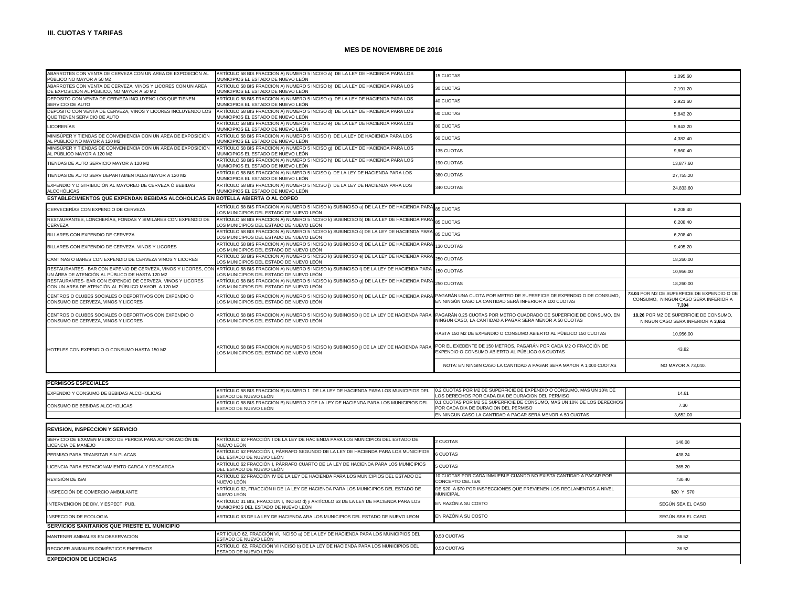| ABARROTES CON VENTA DE CERVEZA CON UN AREA DE EXPOSICIÓN AL<br>PÚBLICO NO MAYOR A 50 M2                           | ARTÍCULO 58 BIS FRACCION A) NUMERO 5 INCISO a) DE LA LEY DE HACIENDA PARA LOS<br>MUNICIPIOS EL ESTADO DE NUEVO LEÓN                                                                                   | <b>15 CUOTAS</b>                                                                                                               | 1,095.60                                                                                     |
|-------------------------------------------------------------------------------------------------------------------|-------------------------------------------------------------------------------------------------------------------------------------------------------------------------------------------------------|--------------------------------------------------------------------------------------------------------------------------------|----------------------------------------------------------------------------------------------|
| ABARROTES CON VENTA DE CERVEZA, VINOS Y LICORES CON UN AREA<br>DE EXPOSICIÓN AL PÚBLICO. NO MAYOR A 50 M2         | ARTÍCULO 58 BIS FRACCION A) NUMERO 5 INCISO b) DE LA LEY DE HACIENDA PARA LOS<br>MUNICIPIOS EL ESTADO DE NUEVO LEÓN                                                                                   | 30 CUOTAS                                                                                                                      | 2,191.20                                                                                     |
| DEPOSITO CON VENTA DE CERVEZA INCLUYENO LOS QUE TIENEN<br>SERVICIO DE AUTO                                        | ARTÍCULO 58 BIS FRACCION A) NUMERO 5 INCISO c) DE LA LEY DE HACIENDA PARA LOS<br>MUNICIPIOS EL ESTADO DE NUEVO LEÓN                                                                                   | 40 CUOTAS                                                                                                                      | 2.921.60                                                                                     |
| DEPOSITO CON VENTA DE CERVEZA, VINOS Y LICORES INCLUYENDO LOS<br>QUE TIENEN SERVICIO DE AUTO                      | ARTÍCULO 58 BIS FRACCION A) NUMERO 5 INCISO d) DE LA LEY DE HACIENDA PARA LOS<br>MUNICIPIOS EL ESTADO DE NUEVO LEÓN                                                                                   | 80 CUOTAS                                                                                                                      | 5.843.20                                                                                     |
| LICORERÍAS                                                                                                        | ARTÍCULO 58 BIS FRACCION A) NUMERO 5 INCISO e) DE LA LEY DE HACIENDA PARA LOS<br>MUNICIPIOS EL ESTADO DE NUEVO LEÓN                                                                                   | 80 CUOTAS                                                                                                                      | 5,843.20                                                                                     |
| MINISÚPER Y TIENDAS DE CONVENIENCIA CON UN AREA DE EXPOSICIÓN<br>AL PUBLICO NO MAYOR A 120 M2                     | ARTÍCULO 58 BIS FRACCION A) NUMERO 5 INCISO f) DE LA LEY DE HACIENDA PARA LOS<br>MUNICIPIOS EL ESTADO DE NUEVO LEÓN                                                                                   | 60 CUOTAS                                                                                                                      | 4.382.40                                                                                     |
| MINISÚPER Y TIENDAS DE CONVENIENCIA CON UN AREA DE EXPOSICIÓN<br>AL PÚBLICO MAYOR A 120 M2                        | ARTÍCULO 58 BIS FRACCION A) NUMERO 5 INCISO q) DE LA LEY DE HACIENDA PARA LOS<br>MUNICIPIOS EL ESTADO DE NUEVO LEÓN                                                                                   | 135 CUOTAS                                                                                                                     | 9.860.40                                                                                     |
| TIENDAS DE AUTO SERVICIO MAYOR A 120 M2                                                                           | ARTÍCULO 58 BIS FRACCION A) NUMERO 5 INCISO h) DE LA LEY DE HACIENDA PARA LOS<br>MUNICIPIOS EL ESTADO DE NUEVO LEÓN                                                                                   | 190 CUOTAS                                                                                                                     | 13,877.60                                                                                    |
| TIENDAS DE AUTO SERV DEPARTAMENTALES MAYOR A 120 M2                                                               | ARTÍCULO 58 BIS FRACCION A) NUMERO 5 INCISO i) DE LA LEY DE HACIENDA PARA LOS<br>MUNICIPIOS EL ESTADO DE NUEVO LEÓN                                                                                   | 380 CUOTAS                                                                                                                     | 27,755.20                                                                                    |
| EXPENDIO Y DISTRIBUCIÓN AL MAYOREO DE CERVEZA Ó BEBIDAS<br>ALCOHÓLICAS                                            | ARTÍCULO 58 BIS FRACCION A) NUMERO 5 INCISO ¡) DE LA LEY DE HACIENDA PARA LOS<br>MUNICIPIOS EL ESTADO DE NUEVO LEÓN                                                                                   | 340 CUOTAS                                                                                                                     | 24,833.60                                                                                    |
| ESTABLECIMIENTOS QUE EXPENDAN BEBIDAS ALCOHOLICAS EN BOTELLA ABIERTA O AL COPEO                                   |                                                                                                                                                                                                       |                                                                                                                                |                                                                                              |
| CERVECERÍAS CON EXPENDIO DE CERVEZA                                                                               | ARTÍCULO 58 BIS FRACCION A) NUMERO 5 INCISO k) SUBINCISO a) DE LA LEY DE HACIENDA PARA<br>OS MUNICIPIOS DEL ESTADO DE NUEVO LEÓN                                                                      | 85 CUOTAS                                                                                                                      | 6,208.40                                                                                     |
| RESTAURANTES, LONCHERÍAS, FONDAS Y SIMILARES CON EXPENDIO DE<br>CERVEZA                                           | ARTÍCULO 58 BIS FRACCION A) NUMERO 5 INCISO k) SUBINCISO b) DE LA LEY DE HACIENDA PARA<br>OS MUNICIPIOS DEL ESTADO DE NUEVO LEÓN                                                                      | 85 CUOTAS                                                                                                                      | 6,208.40                                                                                     |
| BILLARES CON EXPENDIO DE CERVEZA                                                                                  | ARTÍCULO 58 BIS FRACCION A) NUMERO 5 INCISO k) SUBINCISO c) DE LA LEY DE HACIENDA PARA<br>OS MUNICIPIOS DEL ESTADO DE NUEVO LEÓN                                                                      | <b>85 CUOTAS</b>                                                                                                               | 6,208.40                                                                                     |
| BILLARES CON EXPENDIO DE CERVEZA. VINOS Y LICORES                                                                 | ARTÍCULO 58 BIS FRACCION A) NUMERO 5 INCISO k) SUBINCISO d) DE LA LEY DE HACIENDA PAR<br>OS MUNICIPIOS DEL ESTADO DE NUEVO LEÓN                                                                       | 130 CUOTAS                                                                                                                     | 9,495.20                                                                                     |
| CANTINAS O BARES CON EXPENDIO DE CERVEZA VINOS Y LICORES                                                          | ARTÍCULO 58 BIS FRACCION A) NUMERO 5 INCISO k) SUBINCISO e) DE LA LEY DE HACIENDA PARA<br>LOS MUNICIPIOS DEL ESTADO DE NUEVO LEÓN                                                                     | 250 CUOTAS                                                                                                                     | 18,260.00                                                                                    |
| RESTAURANTES - BAR CON EXPENIO DE CERVEZA, VINOS Y LICORES, CON<br>UN ÁREA DE ATENCIÓN AL PÚBLICO DE HASTA 120 M2 | ARTÍCULO 58 BIS FRACCION A) NUMERO 5 INCISO k) SUBINCISO f) DE LA LEY DE HACIENDA PARA<br>LOS MUNICIPIOS DEL ESTADO DE NUEVO LEÓN                                                                     | 150 CUOTAS                                                                                                                     | 10,956.00                                                                                    |
| RESTAURANTES- BAR CON EXPENDIO DE CERVEZA, VINOS Y LICORES<br>CON UN AREA DE ATENCIÓN AL PÚBLICO MAYOR A 120 M2   | ARTÍCULO 58 BIS FRACCION A) NUMERO 5 INCISO k) SUBINCISO q) DE LA LEY DE HACIENDA PARA<br>LOS MUNICIPIOS DEL ESTADO DE NUEVO LEÓN                                                                     | 250 CUOTAS                                                                                                                     | 18,260.00                                                                                    |
| CENTROS O CLUBES SOCIALES O DEPORTIVOS CON EXPENDIO O<br>CONSUMO DE CERVEZA, VINOS Y LICORES                      | ARTÍCULO 58 BIS FRACCION A) NUMERO 5 INCISO k) SUBINCISO h) DE LA LEY DE HACIENDA PARA PAGARÁN UNA CUOTA POR METRO DE SUPERFICIE DE EXPENDIO O DE CONSUMO,<br>LOS MUNICIPIOS DEL ESTADO DE NUEVO LEÓN | EN NINGÚN CASO LA CANTIDAD SERÁ INFERIOR A 100 CUOTAS                                                                          | 73.04 POR M2 DE SUPERFICIE DE EXPENDIO O DE<br>CONSUMO. NINGUN CASO SERA INFERIOR A<br>7,304 |
| CENTROS O CLUBES SOCIALES O DEPORTIVOS CON EXPENDIO O<br>CONSUMO DE CERVEZA, VINOS Y LICORES                      | ARTÍCULO 58 BIS FRACCION A) NUMERO 5 INCISO k) SUBINCISO i) DE LA LEY DE HACIENDA PARA<br>LOS MUNICIPIOS DEL ESTADO DE NUEVO LEÓN                                                                     | PAGARÁN 0.25 CUOTAS POR METRO CUADRADO DE SUPERFICIE DE CONSUMO, EN<br>NINGUN CASO, LA CANTIDAD A PAGAR SERA MENOR A 50 CUOTAS | 18.26 POR M2 DE SUPERFICIE DE CONSUMO,<br>NINGUN CASO SERA INFERIOR A 3.652                  |
|                                                                                                                   |                                                                                                                                                                                                       | HASTA 150 M2 DE EXPENDIO O CONSUMO ABIERTO AL PÚBLICO 150 CUOTAS                                                               | 10,956.00                                                                                    |
| HOTELES CON EXPENDIO O CONSUMO HASTA 150 M2                                                                       | ARTICULO 58 BIS FRACCION A) NUMERO 5 INCISO k) SUBINCISO ¡) DE LA LEY DE HACIENDA PARA<br>OS MUNICIPIOS DEL ESTADO DE NUEVO LEON                                                                      | POR EL EXEDENTE DE 150 METROS, PAGARÁN POR CADA M2 O FRACCIÓN DE<br>EXPENDIO O CONSUMO ABIERTO AL PÚBLICO 0.6 CUOTAS           | 43.82                                                                                        |
|                                                                                                                   |                                                                                                                                                                                                       | NOTA: EN NINGIN CASO LA CANTIDAD A PAGAR SERA MAYOR A 1,000 CUOTAS                                                             | NO MAYOR A 73,040.                                                                           |
|                                                                                                                   |                                                                                                                                                                                                       |                                                                                                                                |                                                                                              |
| <b>PERMISOS ESPECIALES</b>                                                                                        |                                                                                                                                                                                                       |                                                                                                                                |                                                                                              |
| EXPENDIO Y CONSUMO DE BEBIDAS ALCOHOLICAS                                                                         | ARTÍCULO 58 BIS FRACCION B) NUMERO 1 DE LA LEY DE HACIENDA PARA LOS MUNICIPIOS DEL<br>ESTADO DE NUEVO LEÓN                                                                                            | 0.2 CUOTAS POR M2 DE SUPERFICIE DE EXPENDIO O CONSUMO, MAS UN 10% DE<br>LOS DERECHOS POR CADA DIA DE DURACION DEL PERMISO      | 14.61                                                                                        |
| CONSUMO DE BEBIDAS ALCOHOLICAS                                                                                    | ARTÍCULO 58 BIS FRACCION B) NUMERO 2 DE LA LEY DE HACIENDA PARA LOS MUNICIPIOS DEL<br>ESTADO DE NUEVO LEÓN                                                                                            | 0.1 CUOTAS POR M2 SE SUPERFICIE DE CONSUMO, MAS UN 10% DE LOS DERECHOS<br>POR CADA DIA DE DURACION DEL PERMISO                 | 7.30                                                                                         |
|                                                                                                                   |                                                                                                                                                                                                       | EN NINGUN CASO LA CANTIDAD A PAGAR SERÁ MENOR A 50 CUOTAS                                                                      | 3.652.00                                                                                     |
| REVISION, INSPECCION Y SERVICIO                                                                                   |                                                                                                                                                                                                       |                                                                                                                                |                                                                                              |
| SERVICIO DE EXAMEN MEDICO DE PERICIA PARA AUTORIZACIÓN DE<br><b>ICENCIA DE MANEJO</b>                             | ARTÍCULO 62 FRACCIÓN I DE LA LEY DE HACIENDA PARA LOS MUNICIPIOS DEL ESTADO DE<br>NUEVO LEÓN                                                                                                          | 2 CUOTAS                                                                                                                       | 146.08                                                                                       |
| PERMISO PARA TRANSITAR SIN PLACAS                                                                                 | ARTÍCULO 62 FRACCIÓN I, PÁRRAFO SEGUNDO DE LA LEY DE HACIENDA PARA LOS MUNICIPIOS<br>DEL ESTADO DE NUEVO LEÓN                                                                                         | 6 CUOTAS                                                                                                                       | 438.24                                                                                       |
| LICENCIA PARA ESTACIONAMIENTO CARGA Y DESCARGA                                                                    | ARTÍCULO 62 FRACCIÓN I, PÁRRAFO CUARTO DE LA LEY DE HACIENDA PARA LOS MUNICIPIOS<br>DEL ESTADO DE NUEVO LEÓN                                                                                          | 5 CUOTAS                                                                                                                       | 365.20                                                                                       |
| <b>SEVIPIÓN DE IPAL</b>                                                                                           | ARTÍCULO 62 FRACCIÓN IV DE LA LEY DE HACIENDA PARA LOS MUNICIPIOS DEL ESTADO DE                                                                                                                       | 10 CUOTAS POR CADA INMUEBLE CUANDO NO EXISTA CANTIDAD A PAGAR POR                                                              | 730.40                                                                                       |

|                                                | ESTADO DE NUEVO LEÓN                                                                                                       |                                                                                           |                   |
|------------------------------------------------|----------------------------------------------------------------------------------------------------------------------------|-------------------------------------------------------------------------------------------|-------------------|
| RECOGER ANIMALES DOMÉSTICOS ENFERMOS           | ARTÍCULO 62, FRACCIÓN VI INCISO b) DE LA LEY DE HACIENDA PARA LOS MUNICIPIOS DEL                                           | 0.50 CUOTAS                                                                               | 36.52             |
| MANTENER ANIMALES EN OBSERVACIÓN               | ART ÍCULO 62, FRACCIÓN VI, INCISO a) DE LA LEY DE HACIENDA PARA LOS MUNICIPIOS DEL<br>ESTADO DE NUEVO LEÓN                 | 0.50 CUOTAS                                                                               | 36.52             |
| SERVICIOS SANITARIOS QUE PRESTE EL MUNICIPIO   |                                                                                                                            |                                                                                           |                   |
| INSPECCION DE ECOLOGIA                         | ARTICULO 63 DE LA LEY DE HACIENDA ARA LOS MUNICIPIOS DEL ESTADO DE NUEVO LEON                                              | EN RAZÓN A SU COSTO                                                                       | SEGÚN SEA EL CASO |
| INTERVENCION DE DIV. Y ESPECT. PUB.            | ARTÍCULO 31 BIS, FRACCION I, INCISO d) y ARTÍCULO 63 DE LA LEY DE HACIENDA PARA LOS<br>MUNICIPIOS DEL ESTADO DE NUEVO LEÓN | EN RAZÓN A SU COSTO                                                                       | SEGÚN SEA EL CASO |
| INSPECCIÓN DE COMERCIO AMBULANTE               | ARTÍCULO 62. FRACCIÓN II DE LA LEY DE HACIENDA PARA LOS MUNICIPIOS DEL ESTADO DE<br>NUEVO LEÓN                             | DE \$20 A \$70 POR INSPECCIONES QUE PREVIENEN LOS REGLAMENTOS A NIVEL<br><b>MUNICIPAL</b> | \$20 Y \$70       |
| REVISIÓN DE ISAI                               | ARTÍCULO 62 FRACCIÓN IV DE LA LEY DE HACIENDA PARA LOS MUNICIPIOS DEL ESTADO DE<br>NUEVO LEÓN                              | 10 CUOTAS POR CADA INMUEBLE CUANDO NO EXISTA CANTIDAD A PAGAR POR<br>CONCEPTO DEL ISAI    | 730.40            |
| LICENCIA PARA ESTACIONAMIENTO CARGA Y DESCARGA | ARTICULO 62 FRACCION I, PARRAFO CUARTO DE LA LEY DE HACIENDA PARA LOS MUNICIPIOS<br>DEL ESTADO DE NUEVO LEÓN               | 5 CUOTAS                                                                                  | 365.20            |

**EXPEDICION DE LICENCIAS**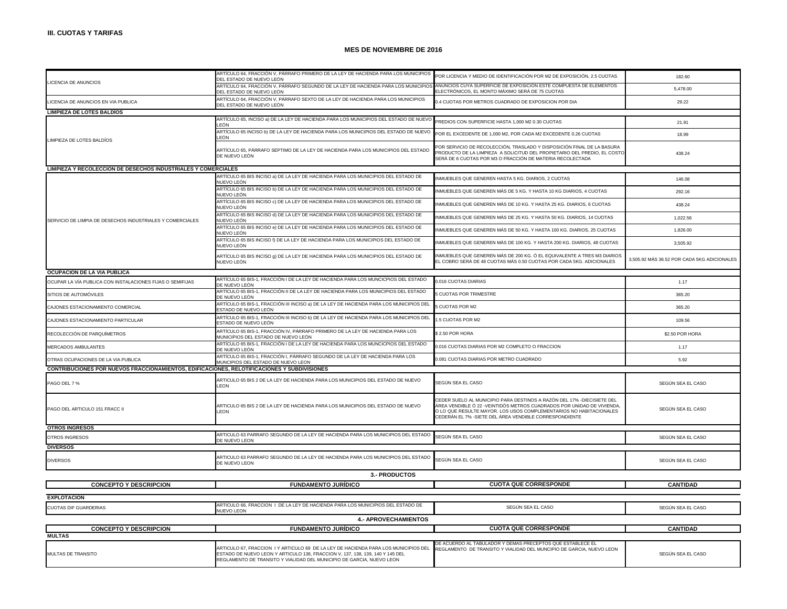|                                                                                             | ARTÍCULO 64, FRACCIÓN V, PÁRRAFO PRIMERO DE LA LEY DE HACIENDA PARA LOS MUNICIPIOS<br>DEL ESTADO DE NUEVO LEÓN                                                                                                                                | POR LICENCIA Y MEDIO DE IDENTIFICACIÓN POR M2 DE EXPOSICIÓN, 2.5 CUOTAS                                                                                                                                                                                                           | 182.60                                      |
|---------------------------------------------------------------------------------------------|-----------------------------------------------------------------------------------------------------------------------------------------------------------------------------------------------------------------------------------------------|-----------------------------------------------------------------------------------------------------------------------------------------------------------------------------------------------------------------------------------------------------------------------------------|---------------------------------------------|
| LICENCIA DE ANUNCIOS                                                                        | ARTÍCULO 64, FRACCIÓN V, PÁRRAFO SEGUNDO DE LA LEY DE HACIENDA PARA LOS MUNICIPIO<br>DEL ESTADO DE NUEVO LEÓN                                                                                                                                 | ANUNCIOS CUYA SUPERFICIE DE EXPOSICIÓN ESTE COMPUESTA DE ELEMENTOS<br>ELECTRÓNICOS, EL MONTO MÁXIMO SERÁ DE 75 CUOTAS                                                                                                                                                             | 5,478.00                                    |
| LICENCIA DE ANUNCIOS EN VIA PUBLICA                                                         | ARTÍCULO 64, FRACCIÓN V, PÁRRAFO SEXTO DE LA LEY DE HACIENDA PARA LOS MUNICIPIOS<br>DEL ESTADO DE NUEVO LEÓN                                                                                                                                  | 0.4 CUOTAS POR METROS CUADRADO DE EXPOSICION POR DIA                                                                                                                                                                                                                              | 29.22                                       |
| <b>LIMPIEZA DE LOTES BALDIOS</b>                                                            |                                                                                                                                                                                                                                               |                                                                                                                                                                                                                                                                                   |                                             |
|                                                                                             | ARTÍCULO 65, INCISO a) DE LA LEY DE HACIENDA PARA LOS MUNICIPIOS DEL ESTADO DE NUEVO<br>LEÓN                                                                                                                                                  | PREDIOS CON SUPERFICIE HASTA 1,000 M2 0.30 CUOTAS                                                                                                                                                                                                                                 | 21.91                                       |
| LIMPIEZA DE LOTES BALDÍOS                                                                   | ARTÍCULO 65 INCISO b) DE LA LEY DE HACIENDA PARA LOS MUNICIPIOS DEL ESTADO DE NUEVO<br>LEÓN                                                                                                                                                   | POR EL EXCEDENTE DE 1,000 M2, POR CADA M2 EXCEDENTE 0.26 CUOTAS                                                                                                                                                                                                                   | 18.99                                       |
|                                                                                             | ARTÍCULO 65, PÁRRAFO SEPTIMO DE LA LEY DE HACIENDA PARA LOS MUNICIPIOS DEL ESTADO<br>DE NUEVO LEÓN                                                                                                                                            | POR SERVICIO DE RECOLECCIÓN, TRASLADO Y DISPOSICIÓN FINAL DE LA BASURA<br>PRODUCTO DE LA LIMPIEZA A SOLICITUD DEL PROPIETARIO DEL PREDIO, EL COSTO<br>SERÁ DE 6 CUOTAS POR M3 O FRACCIÓN DE MATERIA RECOLECTADA                                                                   | 438.24                                      |
| LIMPIEZA Y RECOLECCION DE DESECHOS INDUSTRIALES Y COMERCIALES                               |                                                                                                                                                                                                                                               |                                                                                                                                                                                                                                                                                   |                                             |
|                                                                                             | ARTÍCULO 65 BIS INCISO a) DE LA LEY DE HACIENDA PARA LOS MUNICIPIOS DEL ESTADO DE<br>NUEVO LEÓN                                                                                                                                               | NMUEBLES QUE GENEREN HASTA 5 KG. DIARIOS, 2 CUOTAS                                                                                                                                                                                                                                | 146.08                                      |
|                                                                                             | ARTÍCULO 65 BIS INCISO b) DE LA LEY DE HACIENDA PARA LOS MUNICIPIOS DEL ESTADO DE<br>NUEVO LEÓN                                                                                                                                               | NMUEBLES QUE GENEREN MÁS DE 5 KG. Y HASTA 10 KG DIARIOS, 4 CUOTAS                                                                                                                                                                                                                 | 292.16                                      |
|                                                                                             | ARTÍCULO 65 BIS INCISO c) DE LA LEY DE HACIENDA PARA LOS MUNICIPIOS DEL ESTADO DE<br>NUEVO LEÓN                                                                                                                                               | NMUEBLES QUE GENEREN MÁS DE 10 KG. Y HASTA 25 KG. DIARIOS, 6 CUOTAS                                                                                                                                                                                                               | 438.24                                      |
| SERVICIO DE LIMPIA DE DESECHOS INDUSTRIALES Y COMERCIALES                                   | ARTÍCULO 65 BIS INCISO d) DE LA LEY DE HACIENDA PARA LOS MUNICIPIOS DEL ESTADO DE<br>NUEVO LEÓN                                                                                                                                               | INMUEBLES QUE GENEREN MÁS DE 25 KG. Y HASTA 50 KG. DIARIOS, 14 CUOTAS                                                                                                                                                                                                             | 1,022.56                                    |
|                                                                                             | ARTÍCULO 65 BIS INCISO e) DE LA LEY DE HACIENDA PARA LOS MUNICIPIOS DEL ESTADO DE<br>NUEVO LEÓN                                                                                                                                               | INMUEBLES QUE GENEREN MÁS DE 50 KG. Y HASTA 100 KG. DIARIOS, 25 CUOTAS                                                                                                                                                                                                            | 1.826.00                                    |
|                                                                                             | ARTÍCULO 65 BIS INCISO f) DE LA LEY DE HACIENDA PARA LOS MUNICIPIOS DEL ESTADO DE<br>NUEVO LEÓN                                                                                                                                               | INMUEBLES QUE GENEREN MÁS DE 100 KG. Y HASTA 200 KG. DIARIOS, 48 CUOTAS                                                                                                                                                                                                           | 3.505.92                                    |
|                                                                                             | ARTÍCULO 65 BIS INCISO g) DE LA LEY DE HACIENDA PARA LOS MUNICIPIOS DEL ESTADO DE<br>NUEVO LEÓN                                                                                                                                               | NMUEBLES QUE GENEREN MÁS DE 200 KG. Ó EL EQUIVALENTE A TRES M3 DIARIOS<br>EL COBRO SERÁ DE 48 CUOTAS MÁS 0.50 CUOTAS POR CADA 5KG. ADICIONALES                                                                                                                                    | 3,505.92 MÁS 36.52 POR CADA 5KG ADICIONALES |
| OCUPACION DE LA VIA PUBLICA                                                                 |                                                                                                                                                                                                                                               |                                                                                                                                                                                                                                                                                   |                                             |
| OCUPAR LA VÍA PUBLICA CON INSTALACIONES FIJAS O SEMIFIJAS                                   | ARTÍCULO 65 BIS-1, FRACCIÓN I DE LA LEY DE HACIENDA PARA LOS MUNCICPIOS DEL ESTADO<br>DE NUEVO LEÓN                                                                                                                                           | 0.016 CUOTAS DIARIAS                                                                                                                                                                                                                                                              | 1.17                                        |
| SITIOS DE AUTOMÓVILES                                                                       | ARTÍCULO 65 BIS-1, FRACCIÓN II DE LA LEY DE HACIENDA PARA LOS MUNICIPIOS DEL ESTADO<br>DE NUEVO LEÓN                                                                                                                                          | <b>5 CUOTAS POR TRIMESTRE</b>                                                                                                                                                                                                                                                     | 365.20                                      |
| CAJONES ESTACIONAMIENTO COMERCIAL                                                           | ARTÍCULO 65 BIS-1, FRACCIÓN III INCISO a) DE LA LEY DE HACIENDA PARA LOS MUNICIPIOS DEL<br>ESTADO DE NUEVO LEÓN                                                                                                                               | <b>CUOTAS POR M2</b>                                                                                                                                                                                                                                                              | 365.20                                      |
| CAJONES ESTACIONAMIENTO PARTICULAR                                                          | ARTÍCULO 65 BIS-1, FRACCIÓN III INCISO b) DE LA LEY DE HACIENDA PARA LOS MUNICIPIOS DEL<br>ESTADO DE NUEVO LEÓN                                                                                                                               | 1.5 CUOTAS POR M2                                                                                                                                                                                                                                                                 | 109.56                                      |
| RECOLECCIÓN DE PARQUÍMETROS                                                                 | ARTÍCULO 65 BIS-1, FRACCIÓN IV, PÁRRAFO PRIMERO DE LA LEY DE HACIENDA PARA LOS<br>MUNICIPIOS DEL ESTADO DE NUEVO LEÓN                                                                                                                         | \$2.50 POR HORA                                                                                                                                                                                                                                                                   | \$2.50 POR HORA                             |
| MERCADOS AMBULANTES                                                                         | ARTÍCULO 65 BIS-1, FRACCIÓN I DE LA LEY DE HACIENDA PARA LOS MUNCICPIOS DEL ESTADO<br>DE NUEVO LEÓN                                                                                                                                           | 0.016 CUOTAS DIARIAS POR M2 COMPLETO O FRACCION                                                                                                                                                                                                                                   | 1.17                                        |
| OTRAS OCUPACIONES DE LA VIA PUBLICA                                                         | ARTÍCULO 65 BIS-1, FRACCIÓN I, PÁRRAFO SEGUNDO DE LA LEY DE HACIENDA PARA LOS<br>MUNCIPIOS DEL ESTADO DE NUEVO LEON                                                                                                                           | 0.081 CUOTAS DIARIAS POR METRO CUADRADO                                                                                                                                                                                                                                           | 5.92                                        |
| CONTRIBUCIONES POR NUEVOS FRACCIONAMIENTOS, EDIFICACIONES, RELOTIFICACIONES Y SUBDIVISIONES |                                                                                                                                                                                                                                               |                                                                                                                                                                                                                                                                                   |                                             |
| PAGO DEL 7 %                                                                                | ARTICULO 65 BIS 2 DE LA LEY DE HACIENDA PARA LOS MUNICIPIOS DEL ESTADO DE NUEVO<br>LEON                                                                                                                                                       | SEGÚN SEA EL CASO                                                                                                                                                                                                                                                                 | SEGÚN SEA EL CASO                           |
| PAGO DEL ARTICULO 151 FRACC II                                                              | ARTICULO 65 BIS 2 DE LA LEY DE HACIENDA PARA LOS MUNICIPIOS DEL ESTADO DE NUEVO<br><b>LEON</b>                                                                                                                                                | CEDER SUELO AL MUNICIPIO PARA DESTINOS A RAZÓN DEL 17% -DIECISIETE DEL<br>ÁREA VENDIBLE Ó 22 -VEINTIDÓS METROS CUADRADOS POR UNIDAD DE VIVIENDA,<br>O LO QUE RESULTE MAYOR. LOS USOS COMPLEMENTARIOS NO HABITACIONALES<br>CEDERÁN EL 7% - SIETE DEL ÁREA VENDIBLE CORRESPONDIENTE | SEGÚN SEA EL CASO                           |
| <b>OTROS INGRESOS</b>                                                                       |                                                                                                                                                                                                                                               |                                                                                                                                                                                                                                                                                   |                                             |
| OTROS INGRESOS                                                                              | ARTICULO 63 PARRAFO SEGUNDO DE LA LEY DE HACIENDA PARA LOS MUNICIPIOS DEL ESTADO<br>DE NUEVO LEON                                                                                                                                             | SEGÚN SEA EL CASO                                                                                                                                                                                                                                                                 | SEGÚN SEA EL CASO                           |
| <b>DIVERSOS</b>                                                                             |                                                                                                                                                                                                                                               |                                                                                                                                                                                                                                                                                   |                                             |
| <b>DIVERSOS</b>                                                                             | ARTICULO 63 PARRAFO SEGUNDO DE LA LEY DE HACIENDA PARA LOS MUNICIPIOS DEL ESTADO<br>DE NUEVO LEON                                                                                                                                             | SEGÚN SEA EL CASO                                                                                                                                                                                                                                                                 | SEGÚN SEA EL CASO                           |
|                                                                                             | 3.- PRODUCTOS                                                                                                                                                                                                                                 |                                                                                                                                                                                                                                                                                   |                                             |
| <b>CONCEPTO Y DESCRIPCION</b>                                                               | <b>FUNDAMENTO JURÍDICO</b>                                                                                                                                                                                                                    | <b>CUOTA QUE CORRESPONDE</b>                                                                                                                                                                                                                                                      | <b>CANTIDAD</b>                             |
|                                                                                             |                                                                                                                                                                                                                                               |                                                                                                                                                                                                                                                                                   |                                             |
| <b>EXPLOTACION</b><br>CUOTAS DIF GUARDERIAS                                                 | ARTICULO 66, FRACCION I DE LA LEY DE HACIENDA PARA LOS MUNICIPIOS DEL ESTADO DE                                                                                                                                                               | SEGÚN SEA EL CASO                                                                                                                                                                                                                                                                 | SEGÚN SEA EL CASO                           |
|                                                                                             | NUEVO LEON<br><b>4.- APROVECHAMIENTOS</b>                                                                                                                                                                                                     |                                                                                                                                                                                                                                                                                   |                                             |
| <b>CONCEPTO Y DESCRIPCION</b>                                                               | <b>FUNDAMENTO JURÍDICO</b>                                                                                                                                                                                                                    | <b>CUOTA QUE CORRESPONDE</b>                                                                                                                                                                                                                                                      | <b>CANTIDAD</b>                             |
| <b>MULTAS</b>                                                                               |                                                                                                                                                                                                                                               |                                                                                                                                                                                                                                                                                   |                                             |
| <b>MULTAS DE TRANSITO</b>                                                                   | ARTICULO 67, FRACCION I Y ARTICULO 69 DE LA LEY DE HACIENDA PARA LOS MUNICIPIOS DEL<br>ESTADO DE NUEVO LEON Y ARTICULO 136, FRACCION V, 137, 138, 139, 140 Y 145 DEL<br>REGLAMENTO DE TRANSITO Y VIALIDAD DEL MUNICIPIO DE GARCIA, NUEVO LEON | DE ACUERDO AL TABULADOR Y DEMAS PRECEPTOS QUE ESTABLECE EL<br>REGLAMENTO DE TRANSITO Y VIALIDAD DEL MUNCIPIO DE GARCIA, NUEVO LEON                                                                                                                                                | SEGÚN SEA EL CASO                           |